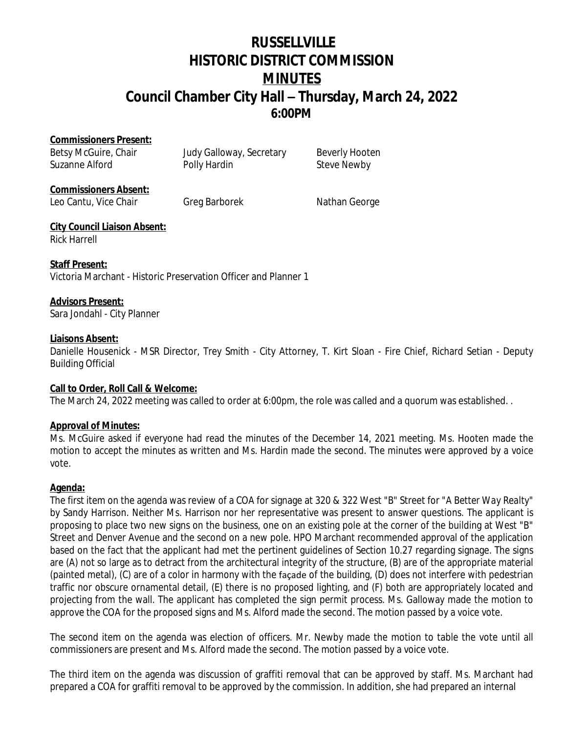# **RUSSELLVILLE HISTORIC DISTRICT COMMISSION MINUTES Council Chamber City Hall – Thursday, March 24, 2022 6:00PM**

#### **Commissioners Present:**

Betsy McGuire, Chair **Judy Galloway, Secretary** Beverly Hooten Suzanne Alford **Polly Hardin** Polly Hardin Steve Newby

### **Commissioners Absent:**

Leo Cantu, Vice Chair Greg Barborek Nathan George

#### **City Council Liaison Absent:** Rick Harrell

**Staff Present:** Victoria Marchant - Historic Preservation Officer and Planner 1

# **Advisors Present:**

Sara Jondahl - City Planner

### **Liaisons Absent:**

Danielle Housenick - MSR Director, Trey Smith - City Attorney, T. Kirt Sloan - Fire Chief, Richard Setian - Deputy Building Official

# **Call to Order, Roll Call & Welcome:**

The March 24, 2022 meeting was called to order at 6:00pm, the role was called and a quorum was established. .

# **Approval of Minutes:**

Ms. McGuire asked if everyone had read the minutes of the December 14, 2021 meeting. Ms. Hooten made the motion to accept the minutes as written and Ms. Hardin made the second. The minutes were approved by a voice vote.

# **Agenda:**

The first item on the agenda was review of a COA for signage at 320 & 322 West "B" Street for "*A Better Way Realty"* by Sandy Harrison. Neither Ms. Harrison nor her representative was present to answer questions. The applicant is proposing to place two new signs on the business, one on an existing pole at the corner of the building at West "B" Street and Denver Avenue and the second on a new pole. HPO Marchant recommended approval of the application based on the fact that the applicant had met the pertinent guidelines of Section 10.27 regarding signage. The signs are (A) not so large as to detract from the architectural integrity of the structure, (B) are of the appropriate material (painted metal), (C) are of a color in harmony with the façade of the building, (D) does not interfere with pedestrian traffic nor obscure ornamental detail, (E) there is no proposed lighting, and (F) both are appropriately located and projecting from the wall. The applicant has completed the sign permit process. Ms. Galloway made the motion to approve the COA for the proposed signs and Ms. Alford made the second. The motion passed by a voice vote.

The second item on the agenda was election of officers. Mr. Newby made the motion to table the vote until all commissioners are present and Ms. Alford made the second. The motion passed by a voice vote.

The third item on the agenda was discussion of graffiti removal that can be approved by staff. Ms. Marchant had prepared a COA for graffiti removal to be approved by the commission. In addition, she had prepared an internal